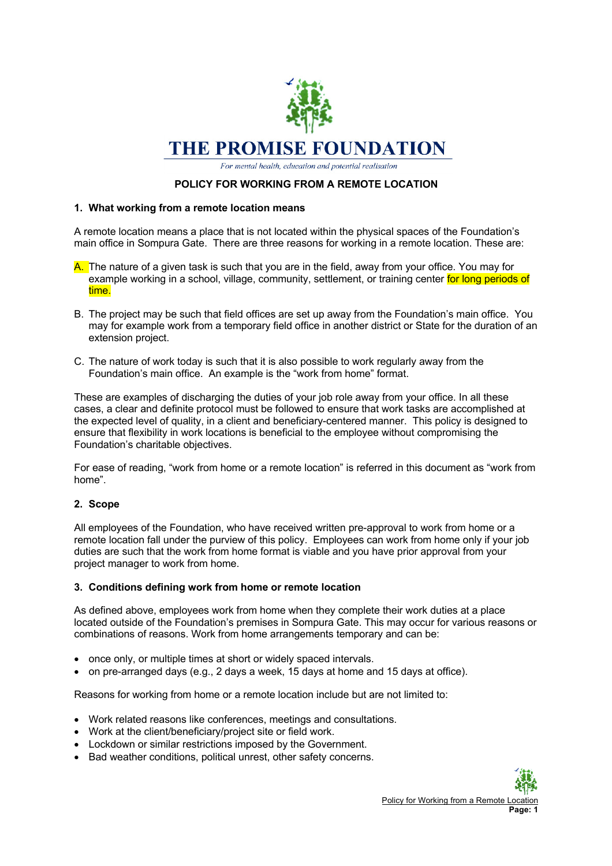

For mental health, education and potential realisation

# **POLICY FOR WORKING FROM A REMOTE LOCATION**

### **1. What working from a remote location means**

A remote location means a place that is not located within the physical spaces of the Foundation's main office in Sompura Gate. There are three reasons for working in a remote location. These are:

- A. The nature of a given task is such that you are in the field, away from your office. You may for example working in a school, village, community, settlement, or training center for long periods of time.
- B. The project may be such that field offices are set up away from the Foundation's main office. You may for example work from a temporary field office in another district or State for the duration of an extension project.
- C. The nature of work today is such that it is also possible to work regularly away from the Foundation's main office. An example is the "work from home" format.

These are examples of discharging the duties of your job role away from your office. In all these cases, a clear and definite protocol must be followed to ensure that work tasks are accomplished at the expected level of quality, in a client and beneficiary-centered manner. This policy is designed to ensure that flexibility in work locations is beneficial to the employee without compromising the Foundation's charitable objectives.

For ease of reading, "work from home or a remote location" is referred in this document as "work from home".

## **2. Scope**

All employees of the Foundation, who have received written pre-approval to work from home or a remote location fall under the purview of this policy. Employees can work from home only if your job duties are such that the work from home format is viable and you have prior approval from your project manager to work from home.

#### **3. Conditions defining work from home or remote location**

As defined above, employees work from home when they complete their work duties at a place located outside of the Foundation's premises in Sompura Gate. This may occur for various reasons or combinations of reasons. Work from home arrangements temporary and can be:

- once only, or multiple times at short or widely spaced intervals.
- on pre-arranged days (e.g., 2 days a week, 15 days at home and 15 days at office).

Reasons for working from home or a remote location include but are not limited to:

- Work related reasons like conferences, meetings and consultations.
- Work at the client/beneficiary/project site or field work.
- Lockdown or similar restrictions imposed by the Government.
- Bad weather conditions, political unrest, other safety concerns.

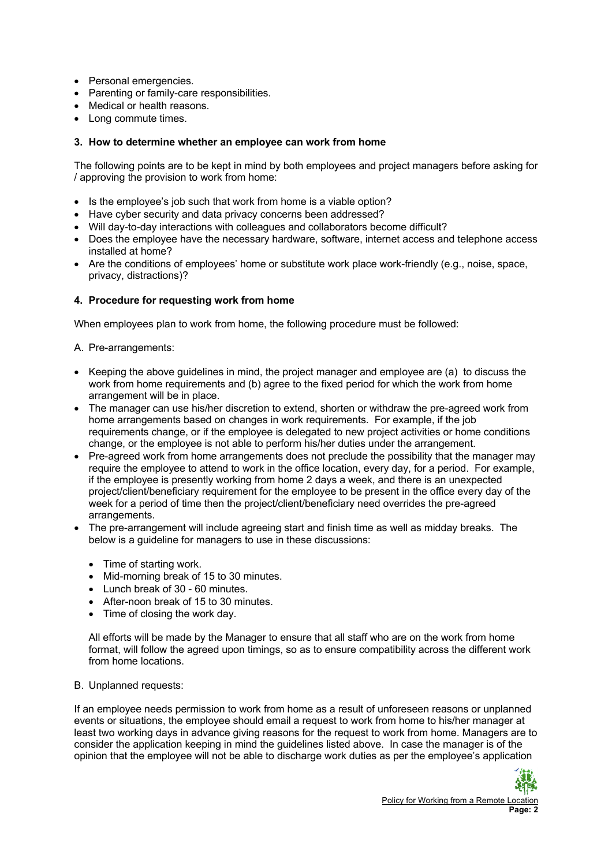- Personal emergencies.
- Parenting or family-care responsibilities.
- Medical or health reasons.
- Long commute times.

# **3. How to determine whether an employee can work from home**

The following points are to be kept in mind by both employees and project managers before asking for / approving the provision to work from home:

- Is the employee's job such that work from home is a viable option?
- Have cyber security and data privacy concerns been addressed?
- Will day-to-day interactions with colleagues and collaborators become difficult?
- Does the employee have the necessary hardware, software, internet access and telephone access installed at home?
- Are the conditions of employees' home or substitute work place work-friendly (e.g., noise, space, privacy, distractions)?

## **4. Procedure for requesting work from home**

When employees plan to work from home, the following procedure must be followed:

A. Pre-arrangements:

- Keeping the above guidelines in mind, the project manager and employee are (a) to discuss the work from home requirements and (b) agree to the fixed period for which the work from home arrangement will be in place.
- The manager can use his/her discretion to extend, shorten or withdraw the pre-agreed work from home arrangements based on changes in work requirements. For example, if the job requirements change, or if the employee is delegated to new project activities or home conditions change, or the employee is not able to perform his/her duties under the arrangement.
- Pre-agreed work from home arrangements does not preclude the possibility that the manager may require the employee to attend to work in the office location, every day, for a period. For example, if the employee is presently working from home 2 days a week, and there is an unexpected project/client/beneficiary requirement for the employee to be present in the office every day of the week for a period of time then the project/client/beneficiary need overrides the pre-agreed arrangements.
- The pre-arrangement will include agreeing start and finish time as well as midday breaks. The below is a guideline for managers to use in these discussions:
	- Time of starting work.
	- Mid-morning break of 15 to 30 minutes.
	- Lunch break of 30 60 minutes.
	- After-noon break of 15 to 30 minutes.
	- Time of closing the work day.

All efforts will be made by the Manager to ensure that all staff who are on the work from home format, will follow the agreed upon timings, so as to ensure compatibility across the different work from home locations.

## B. Unplanned requests:

If an employee needs permission to work from home as a result of unforeseen reasons or unplanned events or situations, the employee should email a request to work from home to his/her manager at least two working days in advance giving reasons for the request to work from home. Managers are to consider the application keeping in mind the guidelines listed above. In case the manager is of the opinion that the employee will not be able to discharge work duties as per the employee's application

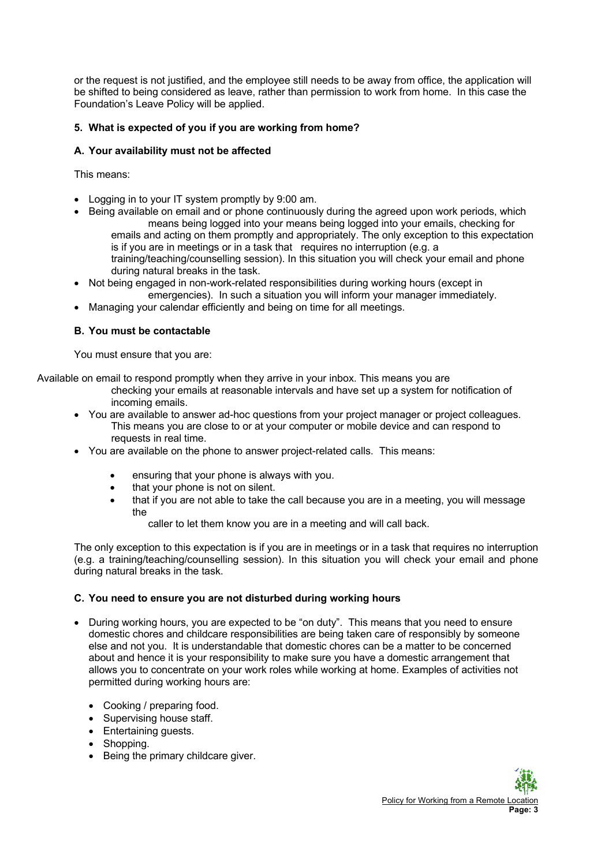or the request is not justified, and the employee still needs to be away from office, the application will be shifted to being considered as leave, rather than permission to work from home. In this case the Foundation's Leave Policy will be applied.

# **5. What is expected of you if you are working from home?**

# **A. Your availability must not be affected**

This means:

- Logging in to your IT system promptly by 9:00 am.
- Being available on email and or phone continuously during the agreed upon work periods, which means being logged into your means being logged into your emails, checking for emails and acting on them promptly and appropriately. The only exception to this expectation is if you are in meetings or in a task that requires no interruption (e.g. a training/teaching/counselling session). In this situation you will check your email and phone during natural breaks in the task.
- Not being engaged in non-work-related responsibilities during working hours (except in emergencies). In such a situation you will inform your manager immediately.
- Managing your calendar efficiently and being on time for all meetings.

# **B. You must be contactable**

You must ensure that you are:

Available on email to respond promptly when they arrive in your inbox. This means you are

- checking your emails at reasonable intervals and have set up a system for notification of incoming emails.
- You are available to answer ad-hoc questions from your project manager or project colleagues. This means you are close to or at your computer or mobile device and can respond to requests in real time.
- You are available on the phone to answer project-related calls. This means:
	- ensuring that your phone is always with you.
	- that your phone is not on silent.
	- that if you are not able to take the call because you are in a meeting, you will message the

caller to let them know you are in a meeting and will call back.

The only exception to this expectation is if you are in meetings or in a task that requires no interruption (e.g. a training/teaching/counselling session). In this situation you will check your email and phone during natural breaks in the task.

## **C. You need to ensure you are not disturbed during working hours**

- During working hours, you are expected to be "on duty". This means that you need to ensure domestic chores and childcare responsibilities are being taken care of responsibly by someone else and not you. It is understandable that domestic chores can be a matter to be concerned about and hence it is your responsibility to make sure you have a domestic arrangement that allows you to concentrate on your work roles while working at home. Examples of activities not permitted during working hours are:
	- Cooking / preparing food.
	- Supervising house staff.
	- Entertaining guests.
	- Shopping.
	- Being the primary childcare giver.